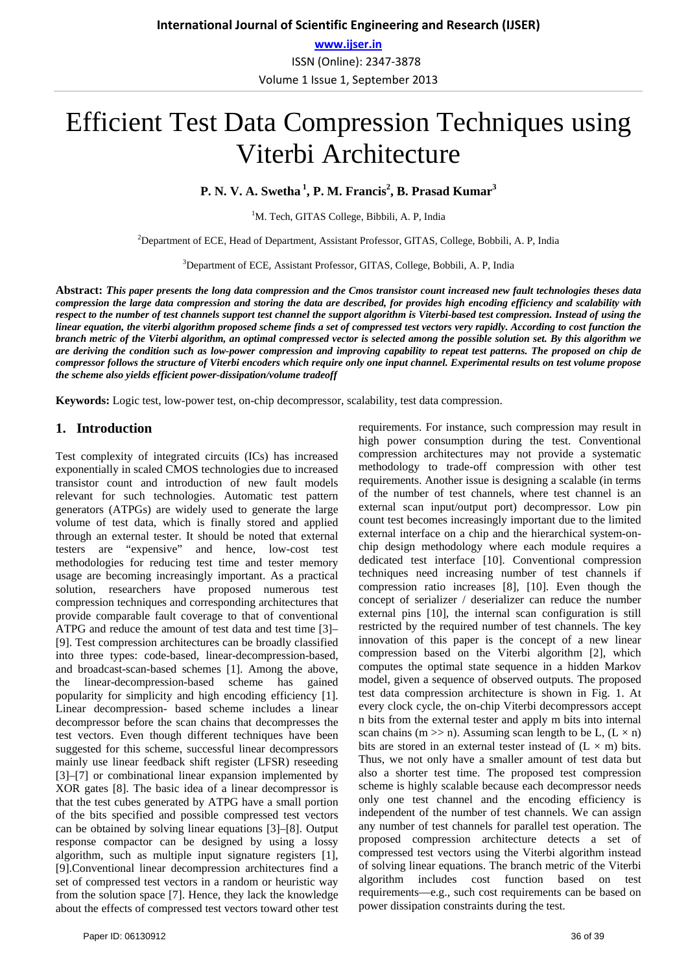**www.ijser.in** ISSN (Online): 2347-3878 Volume 1 Issue 1, September 2013

# Efficient Test Data Compression Techniques using Viterbi Architecture

**P. N. V. A. Swetha<sup>1</sup>, P. M. Francis<sup>2</sup>, B. Prasad Kumar<sup>3</sup>** 

<sup>1</sup>M. Tech, GITAS College, Bibbili, A. P, India

<sup>2</sup>Department of ECE, Head of Department, Assistant Professor, GITAS, College, Bobbili, A. P, India

3 Department of ECE, Assistant Professor, GITAS, College, Bobbili, A. P, India

**Abstract:** *This paper presents the long data compression and the Cmos transistor count increased new fault technologies theses data compression the large data compression and storing the data are described, for provides high encoding efficiency and scalability with respect to the number of test channels support test channel the support algorithm is Viterbi-based test compression. Instead of using the linear equation, the viterbi algorithm proposed scheme finds a set of compressed test vectors very rapidly. According to cost function the branch metric of the Viterbi algorithm, an optimal compressed vector is selected among the possible solution set. By this algorithm we are deriving the condition such as low-power compression and improving capability to repeat test patterns. The proposed on chip de compressor follows the structure of Viterbi encoders which require only one input channel. Experimental results on test volume propose the scheme also yields efficient power-dissipation/volume tradeoff*

**Keywords:** Logic test, low-power test, on-chip decompressor, scalability, test data compression.

#### **1. Introduction**

Test complexity of integrated circuits (ICs) has increased exponentially in scaled CMOS technologies due to increased transistor count and introduction of new fault models relevant for such technologies. Automatic test pattern generators (ATPGs) are widely used to generate the large volume of test data, which is finally stored and applied through an external tester. It should be noted that external testers are "expensive" and hence, low-cost test methodologies for reducing test time and tester memory usage are becoming increasingly important. As a practical solution, researchers have proposed numerous test compression techniques and corresponding architectures that provide comparable fault coverage to that of conventional ATPG and reduce the amount of test data and test time [3]– [9]. Test compression architectures can be broadly classified into three types: code-based, linear-decompression-based, and broadcast-scan-based schemes [1]. Among the above, the linear-decompression-based scheme has gained popularity for simplicity and high encoding efficiency [1]. Linear decompression- based scheme includes a linear decompressor before the scan chains that decompresses the test vectors. Even though different techniques have been suggested for this scheme, successful linear decompressors mainly use linear feedback shift register (LFSR) reseeding [3]–[7] or combinational linear expansion implemented by XOR gates [8]. The basic idea of a linear decompressor is that the test cubes generated by ATPG have a small portion of the bits specified and possible compressed test vectors can be obtained by solving linear equations [3]–[8]. Output response compactor can be designed by using a lossy algorithm, such as multiple input signature registers [1], [9].Conventional linear decompression architectures find a set of compressed test vectors in a random or heuristic way from the solution space [7]. Hence, they lack the knowledge about the effects of compressed test vectors toward other test requirements. For instance, such compression may result in high power consumption during the test. Conventional compression architectures may not provide a systematic methodology to trade-off compression with other test requirements. Another issue is designing a scalable (in terms of the number of test channels, where test channel is an external scan input/output port) decompressor. Low pin count test becomes increasingly important due to the limited external interface on a chip and the hierarchical system-onchip design methodology where each module requires a dedicated test interface [10]. Conventional compression techniques need increasing number of test channels if compression ratio increases [8], [10]. Even though the concept of serializer / deserializer can reduce the number external pins [10], the internal scan configuration is still restricted by the required number of test channels. The key innovation of this paper is the concept of a new linear compression based on the Viterbi algorithm [2], which computes the optimal state sequence in a hidden Markov model, given a sequence of observed outputs. The proposed test data compression architecture is shown in Fig. 1. At every clock cycle, the on-chip Viterbi decompressors accept n bits from the external tester and apply m bits into internal scan chains (m  $\gg$  n). Assuming scan length to be L, (L  $\times$  n) bits are stored in an external tester instead of  $(L \times m)$  bits. Thus, we not only have a smaller amount of test data but also a shorter test time. The proposed test compression scheme is highly scalable because each decompressor needs only one test channel and the encoding efficiency is independent of the number of test channels. We can assign any number of test channels for parallel test operation. The proposed compression architecture detects a set of compressed test vectors using the Viterbi algorithm instead of solving linear equations. The branch metric of the Viterbi algorithm includes cost function based on test requirements—e.g., such cost requirements can be based on power dissipation constraints during the test.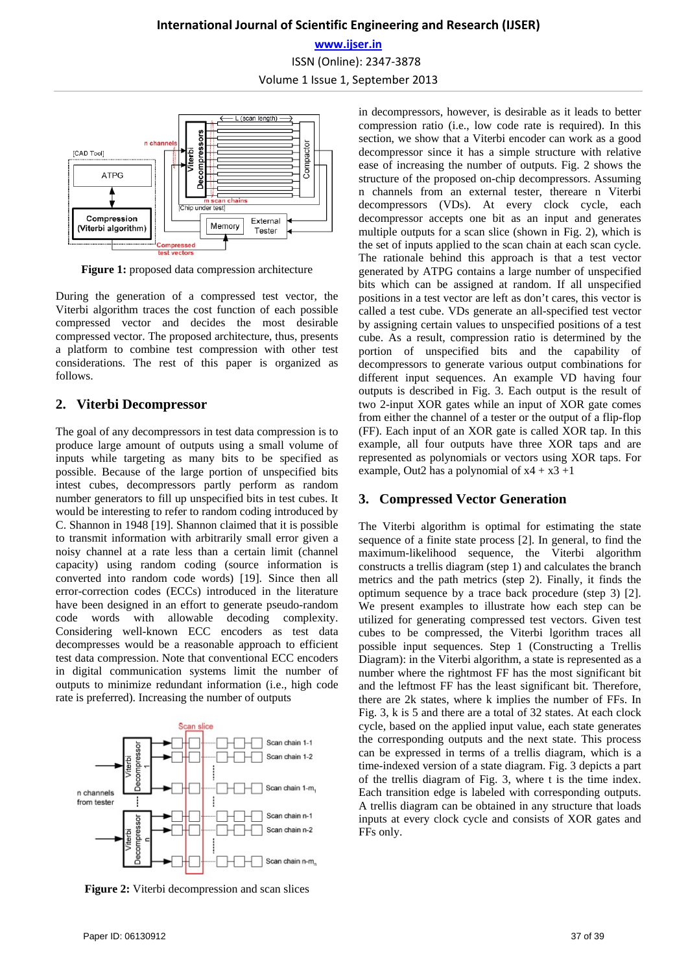# **International Journal of Scientific Engineering and Research (IJSER) www.ijser.in** ISSN (Online): 2347-3878 Volume 1 Issue 1, September 2013



**Figure 1:** proposed data compression architecture

During the generation of a compressed test vector, the Viterbi algorithm traces the cost function of each possible compressed vector and decides the most desirable compressed vector. The proposed architecture, thus, presents a platform to combine test compression with other test considerations. The rest of this paper is organized as follows.

# **2. Viterbi Decompressor**

The goal of any decompressors in test data compression is to produce large amount of outputs using a small volume of inputs while targeting as many bits to be specified as possible. Because of the large portion of unspecified bits intest cubes, decompressors partly perform as random number generators to fill up unspecified bits in test cubes. It would be interesting to refer to random coding introduced by C. Shannon in 1948 [19]. Shannon claimed that it is possible to transmit information with arbitrarily small error given a noisy channel at a rate less than a certain limit (channel capacity) using random coding (source information is converted into random code words) [19]. Since then all error-correction codes (ECCs) introduced in the literature have been designed in an effort to generate pseudo-random code words with allowable decoding complexity. Considering well-known ECC encoders as test data decompresses would be a reasonable approach to efficient test data compression. Note that conventional ECC encoders in digital communication systems limit the number of outputs to minimize redundant information (i.e., high code rate is preferred). Increasing the number of outputs



**Figure 2:** Viterbi decompression and scan slices

in decompressors, however, is desirable as it leads to better compression ratio (i.e., low code rate is required). In this section, we show that a Viterbi encoder can work as a good decompressor since it has a simple structure with relative ease of increasing the number of outputs. Fig. 2 shows the structure of the proposed on-chip decompressors. Assuming n channels from an external tester, thereare n Viterbi decompressors (VDs). At every clock cycle, each decompressor accepts one bit as an input and generates multiple outputs for a scan slice (shown in Fig. 2), which is the set of inputs applied to the scan chain at each scan cycle. The rationale behind this approach is that a test vector generated by ATPG contains a large number of unspecified bits which can be assigned at random. If all unspecified positions in a test vector are left as don't cares, this vector is called a test cube. VDs generate an all-specified test vector by assigning certain values to unspecified positions of a test cube. As a result, compression ratio is determined by the portion of unspecified bits and the capability of decompressors to generate various output combinations for different input sequences. An example VD having four outputs is described in Fig. 3. Each output is the result of two 2-input XOR gates while an input of XOR gate comes from either the channel of a tester or the output of a flip-flop (FF). Each input of an XOR gate is called XOR tap. In this example, all four outputs have three XOR taps and are represented as polynomials or vectors using XOR taps. For example, Out2 has a polynomial of  $x4 + x3 +1$ 

# **3. Compressed Vector Generation**

The Viterbi algorithm is optimal for estimating the state sequence of a finite state process [2]. In general, to find the maximum-likelihood sequence, the Viterbi algorithm constructs a trellis diagram (step 1) and calculates the branch metrics and the path metrics (step 2). Finally, it finds the optimum sequence by a trace back procedure (step 3) [2]. We present examples to illustrate how each step can be utilized for generating compressed test vectors. Given test cubes to be compressed, the Viterbi lgorithm traces all possible input sequences. Step 1 (Constructing a Trellis Diagram): in the Viterbi algorithm, a state is represented as a number where the rightmost FF has the most significant bit and the leftmost FF has the least significant bit. Therefore, there are 2k states, where k implies the number of FFs. In Fig. 3, k is 5 and there are a total of 32 states. At each clock cycle, based on the applied input value, each state generates the corresponding outputs and the next state. This process can be expressed in terms of a trellis diagram, which is a time-indexed version of a state diagram. Fig. 3 depicts a part of the trellis diagram of Fig. 3, where t is the time index. Each transition edge is labeled with corresponding outputs. A trellis diagram can be obtained in any structure that loads inputs at every clock cycle and consists of XOR gates and FFs only.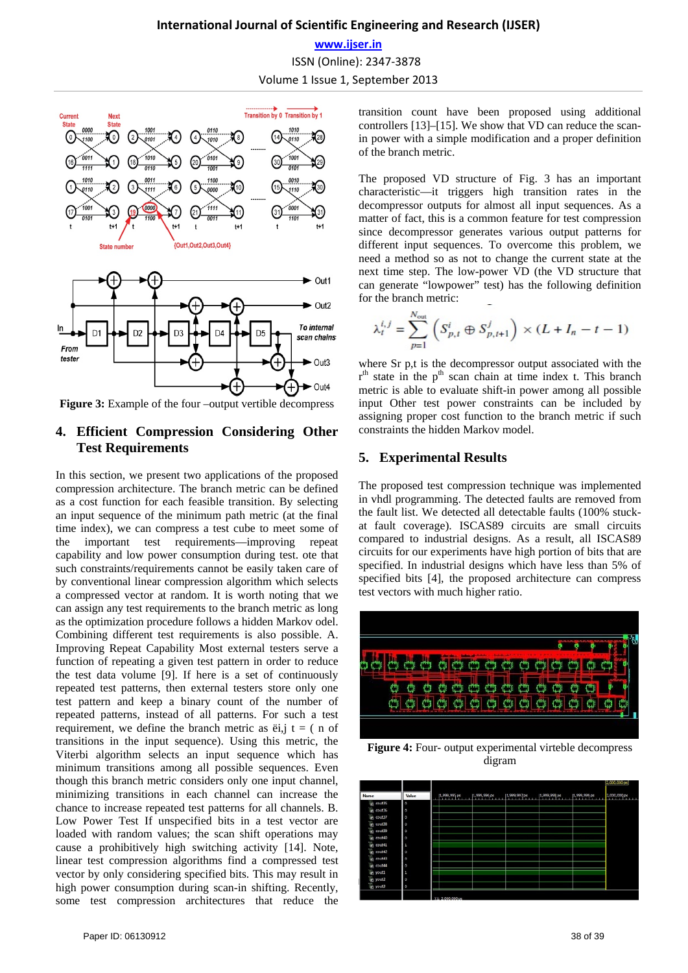**www.ijser.in**

ISSN (Online): 2347-3878

Volume 1 Issue 1, September 2013



**Figure 3:** Example of the four –output vertible decompress

# **4. Efficient Compression Considering Other Test Requirements**

In this section, we present two applications of the proposed compression architecture. The branch metric can be defined as a cost function for each feasible transition. By selecting an input sequence of the minimum path metric (at the final time index), we can compress a test cube to meet some of the important test requirements—improving repeat capability and low power consumption during test. ote that such constraints/requirements cannot be easily taken care of by conventional linear compression algorithm which selects a compressed vector at random. It is worth noting that we can assign any test requirements to the branch metric as long as the optimization procedure follows a hidden Markov odel. Combining different test requirements is also possible. A. Improving Repeat Capability Most external testers serve a function of repeating a given test pattern in order to reduce the test data volume [9]. If here is a set of continuously repeated test patterns, then external testers store only one test pattern and keep a binary count of the number of repeated patterns, instead of all patterns. For such a test requirement, we define the branch metric as  $\ddot{e}$ ,  $\ddot{f}$  t = ( n of transitions in the input sequence). Using this metric, the Viterbi algorithm selects an input sequence which has minimum transitions among all possible sequences. Even though this branch metric considers only one input channel, minimizing transitions in each channel can increase the chance to increase repeated test patterns for all channels. B. Low Power Test If unspecified bits in a test vector are loaded with random values; the scan shift operations may cause a prohibitively high switching activity [14]. Note, linear test compression algorithms find a compressed test vector by only considering specified bits. This may result in high power consumption during scan-in shifting. Recently, some test compression architectures that reduce the transition count have been proposed using additional controllers [13]–[15]. We show that VD can reduce the scanin power with a simple modification and a proper definition of the branch metric.

The proposed VD structure of Fig. 3 has an important characteristic—it triggers high transition rates in the decompressor outputs for almost all input sequences. As a matter of fact, this is a common feature for test compression since decompressor generates various output patterns for different input sequences. To overcome this problem, we need a method so as not to change the current state at the next time step. The low-power VD (the VD structure that can generate "lowpower" test) has the following definition for the branch metric:

$$
\lambda_t^{i,j} = \sum_{p=1}^{N_{\text{out}}} \left( S_{p,t}^i \oplus S_{p,t+1}^j \right) \times (L + I_n - t - 1)
$$

where Sr p,t is the decompressor output associated with the  $r<sup>th</sup>$  state in the  $p<sup>th</sup>$  scan chain at time index t. This branch metric is able to evaluate shift-in power among all possible input Other test power constraints can be included by assigning proper cost function to the branch metric if such constraints the hidden Markov model.

# **5. Experimental Results**

The proposed test compression technique was implemented in vhdl programming. The detected faults are removed from the fault list. We detected all detectable faults (100% stuckat fault coverage). ISCAS89 circuits are small circuits compared to industrial designs. As a result, all ISCAS89 circuits for our experiments have high portion of bits that are specified. In industrial designs which have less than 5% of specified bits [4], the proposed architecture can compress test vectors with much higher ratio.



**Figure 4:** Four- output experimental virteble decompress digram